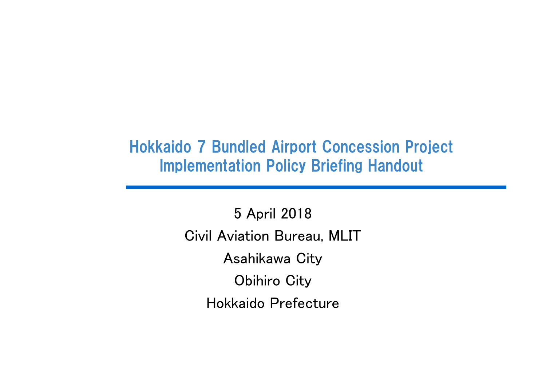## Hokkaido 7 Bundled Airport Concession Project Implementation Policy Briefing Handout

5 April 2018 Civil Aviation Bureau, MLIT Asahikawa City Obihiro City Hokkaido Prefecture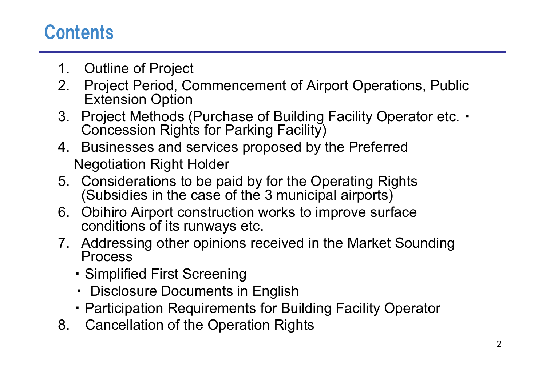# **Contents**

- 1. Outline of Project
- 2. Project Period, Commencement of Airport Operations, Public Extension Option
- 3. Project Methods (Purchase of Building Facility Operator etc.  $\cdot$ Concession Rights for Parking Facility)
- 4. Businesses and services proposed by the Preferred Negotiation Right Holder
- 5. Considerations to be paid by for the Operating Rights (Subsidies in the case of the 3 municipal airports)
- 6. Obihiro Airport construction works to improve surface conditions of its runways etc.
- 7. Addressing other opinions received in the Market Sounding Process
	- ・ Simplified First Screening
	- ・ Disclosure Documents in English
	- ・ Participation Requirements for Building Facility Operator
- 8. Cancellation of the Operation Rights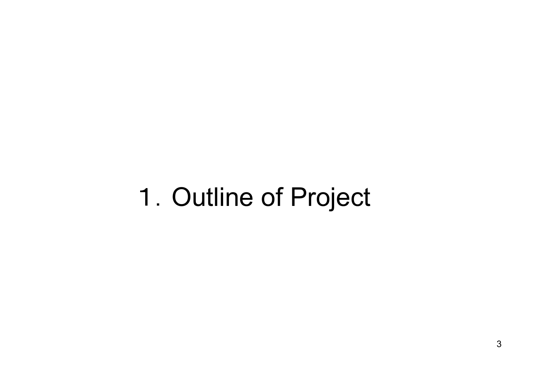# 1.Outline of Project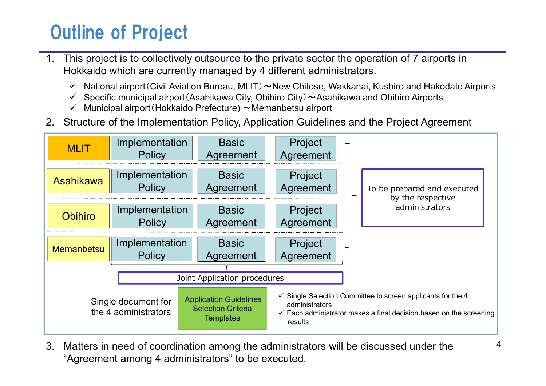# Outline of Project

- 1. This project is to collectively outsource to the private sector the operation of 7 airports in Hokkaido which are currently managed by 4 different administrators.
	- National airport (Civil Aviation Bureau, MLIT) ~New Chitose, Wakkanai, Kushiro and Hakodate Airports  $\checkmark$
	- $\checkmark$  Specific municipal airport (Asahikawa City, Obihiro City)  $\sim$  Asahikawa and Obihiro Airports
	- $\checkmark$  Municipal airport (Hokkaido Prefecture)  $\sim$  Memanbetsu airport
- 2. Structure of the Implementation Policy, Application Guidelines and the Project Agreement



3. Matters in need of coordination among the administrators will be discussed under the "Agreement among 4 administrators" to be executed.

4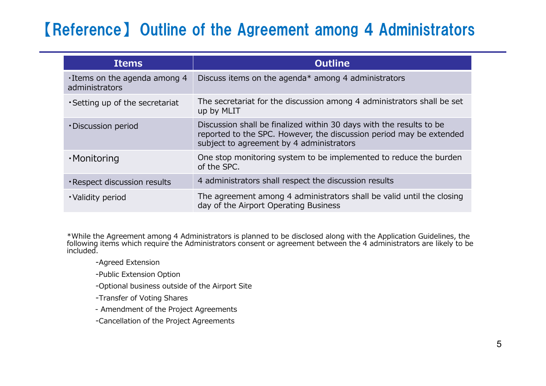## 【Reference】 Outline of the Agreement among 4 Administrators

| <b>Items</b>                                          | <b>Outline</b>                                                                                                                                                                         |
|-------------------------------------------------------|----------------------------------------------------------------------------------------------------------------------------------------------------------------------------------------|
| $\cdot$ Items on the agenda among 4<br>administrators | Discuss items on the agenda* among 4 administrators                                                                                                                                    |
| • Setting up of the secretariat                       | The secretariat for the discussion among 4 administrators shall be set<br>up by MLIT                                                                                                   |
| • Discussion period                                   | Discussion shall be finalized within 30 days with the results to be<br>reported to the SPC. However, the discussion period may be extended<br>subject to agreement by 4 administrators |
| ·Monitoring                                           | One stop monitoring system to be implemented to reduce the burden<br>of the SPC.                                                                                                       |
| · Respect discussion results                          | 4 administrators shall respect the discussion results                                                                                                                                  |
| • Validity period                                     | The agreement among 4 administrators shall be valid until the closing<br>day of the Airport Operating Business                                                                         |

\*While the Agreement among 4 Administrators is planned to be disclosed along with the Application Guidelines, the following items which require the Administrators consent or agreement between the 4 administrators are likely to be included.

- ‐Agreed Extension
- ‐Public Extension Option
- ‐Optional business outside of the Airport Site
- ‐Transfer of Voting Shares
- ‐ Amendment of the Project Agreements
- ‐Cancellation of the Project Agreements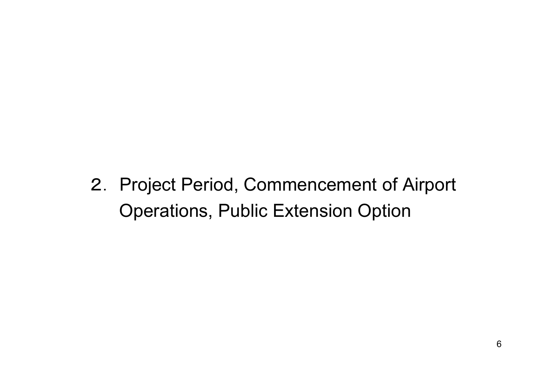2. Project Period, Commencement of Airport Operations, Public Extension Option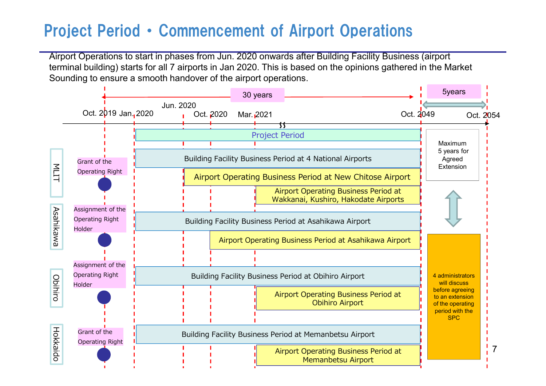## Project Period ・ Commencement of Airport Operations

Airport Operations to start in phases from Jun. 2020 onwards after Building Facility Business (airport terminal building) starts for all 7 airports in Jan 2020. This is based on the opinions gathered in the Market Sounding to ensure a smooth handover of the airport operations.

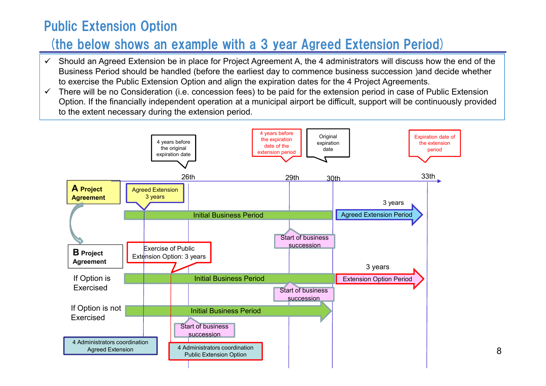## Public Extension Option

## (the below shows an example with a 3 year Agreed Extension Period)

- $\checkmark$  Should an Agreed Extension be in place for Project Agreement A, the 4 administrators will discuss how the end of the Business Period should be handled (before the earliest day to commence business succession )and decide whether to exercise the Public Extension Option and align the expiration dates for the 4 Project Agreements.
- There will be no Consideration (i.e. concession fees) to be paid for the extension period in case of Public Extension  $\checkmark$ Option. If the financially independent operation at a municipal airport be difficult, support will be continuously provided to the extent necessary during the extension period.

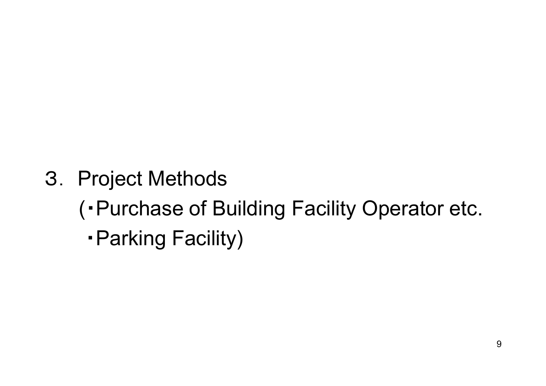3. Project Methods

(・Purchase of Building Facility Operator etc.

・Parking Facility)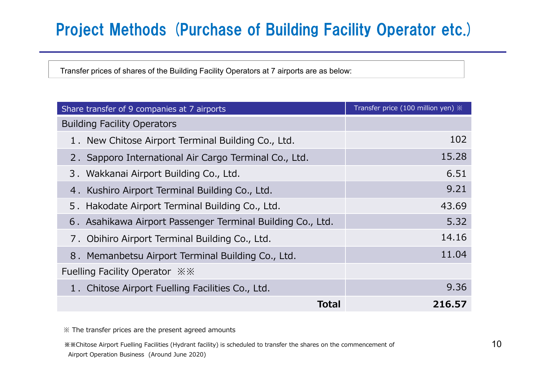## Project Methods (Purchase of Building Facility Operator etc.)

Transfer prices of shares of the Building Facility Operators at 7 airports are as below:

| Share transfer of 9 companies at 7 airports                | Transfer price (100 million yen) $\mathbb X$ |
|------------------------------------------------------------|----------------------------------------------|
| <b>Building Facility Operators</b>                         |                                              |
| 1. New Chitose Airport Terminal Building Co., Ltd.         | 102                                          |
| 2. Sapporo International Air Cargo Terminal Co., Ltd.      | 15.28                                        |
| 3. Wakkanai Airport Building Co., Ltd.                     | 6.51                                         |
| 4. Kushiro Airport Terminal Building Co., Ltd.             | 9.21                                         |
| 5. Hakodate Airport Terminal Building Co., Ltd.            | 43.69                                        |
| 6. Asahikawa Airport Passenger Terminal Building Co., Ltd. | 5.32                                         |
| 7. Obihiro Airport Terminal Building Co., Ltd.             | 14.16                                        |
| 8. Memanbetsu Airport Terminal Building Co., Ltd.          | 11.04                                        |
| Fuelling Facility Operator $\frac{1}{2}$ $\frac{1}{2}$     |                                              |
| 1. Chitose Airport Fuelling Facilities Co., Ltd.           | 9.36                                         |
| Total                                                      | 216.57                                       |

※ The transfer prices are the present agreed amounts

**※※**Chitose Airport Fuelling Facilities (Hydrant facility) is scheduled to transfer the shares on the commencement of 10 Airport Operation Business (Around June 2020)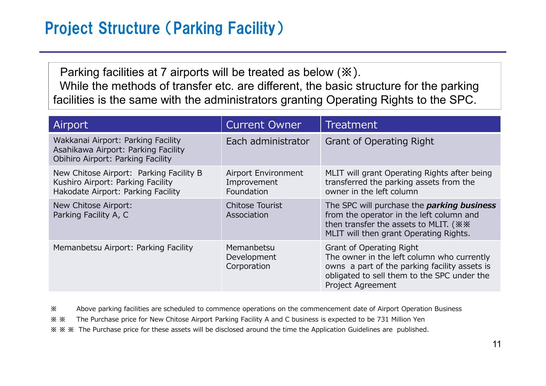Parking facilities at 7 airports will be treated as below (**※**). While the methods of transfer etc. are different, the basic structure for the parking facilities is the same with the administrators granting Operating Rights to the SPC.

| Airport                                                                                                            | <b>Current Owner</b>                             | <b>Treatment</b>                                                                                                                                                                                          |
|--------------------------------------------------------------------------------------------------------------------|--------------------------------------------------|-----------------------------------------------------------------------------------------------------------------------------------------------------------------------------------------------------------|
| Wakkanai Airport: Parking Facility<br>Asahikawa Airport: Parking Facility<br>Obihiro Airport: Parking Facility     | Each administrator                               | <b>Grant of Operating Right</b>                                                                                                                                                                           |
| New Chitose Airport: Parking Facility B<br>Kushiro Airport: Parking Facility<br>Hakodate Airport: Parking Facility | Airport Environment<br>Improvement<br>Foundation | MLIT will grant Operating Rights after being<br>transferred the parking assets from the<br>owner in the left column                                                                                       |
| New Chitose Airport:<br>Parking Facility A, C                                                                      | <b>Chitose Tourist</b><br>Association            | The SPC will purchase the <i>parking business</i><br>from the operator in the left column and<br>then transfer the assets to MLIT. ( **<br>MLIT will then grant Operating Rights.                         |
| Memanbetsu Airport: Parking Facility                                                                               | Memanbetsu<br>Development<br>Corporation         | <b>Grant of Operating Right</b><br>The owner in the left column who currently<br>owns a part of the parking facility assets is<br>obligated to sell them to the SPC under the<br><b>Project Agreement</b> |

**※** Above parking facilities are scheduled to commence operations on the commencement date of Airport Operation Business

**※ ※** The Purchase price for New Chitose Airport Parking Facility A and C business is expected to be 731 Million Yen

**※ ※ ※** The Purchase price for these assets will be disclosed around the time the Application Guidelines are published.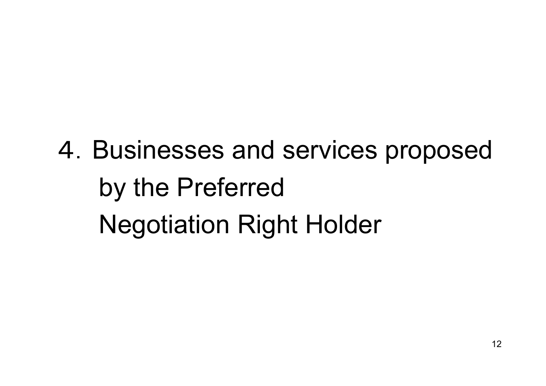# 4.Businesses and services proposed by the Preferred Negotiation Right Holder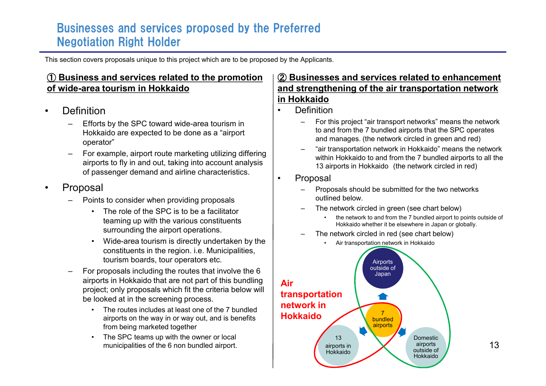#### Businesses and services proposed by the Preferred Negotiation Right Holder

This section covers proposals unique to this project which are to be proposed by the Applicants.

#### ① **Business and services related to the promotion of wide-area tourism in Hokkaido**

- **Definition** 
	- Efforts by the SPC toward wide-area tourism in Hokkaido are expected to be done as a "airport operator"
	- For example, airport route marketing utilizing differing airports to fly in and out, taking into account analysis of passenger demand and airline characteristics.
- **Proposal** 
	- Points to consider when providing proposals
		- The role of the SPC is to be a facilitator teaming up with the various constituents surrounding the airport operations.
		- Wide-area tourism is directly undertaken by the constituents in the region. i.e. Municipalities, tourism boards, tour operators etc.
	- For proposals including the routes that involve the 6 airports in Hokkaido that are not part of this bundling project; only proposals which fit the criteria below will be looked at in the screening process.
		- The routes includes at least one of the 7 bundled airports on the way in or way out, and is benefits from being marketed together
		- The SPC teams up with the owner or local municipalities of the 6 non bundled airport.

#### ② **Businesses and services related to enhancement and strengthening of the air transportation network in Hokkaido**

- Definition
	- For this project "air transport networks" means the network to and from the 7 bundled airports that the SPC operates and manages. (the network circled in green and red)
	- "air transportation network in Hokkaido" means the network within Hokkaido to and from the 7 bundled airports to all the 13 airports in Hokkaido (the network circled in red)
- Proposal
	- Proposals should be submitted for the two networks outlined below.
	- The network circled in green (see chart below)
		- the network to and from the 7 bundled airport to points outside of Hokkaido whether it be elsewhere in Japan or globally.
	- The network circled in red (see chart below)
		- Air transportation network in Hokkaido

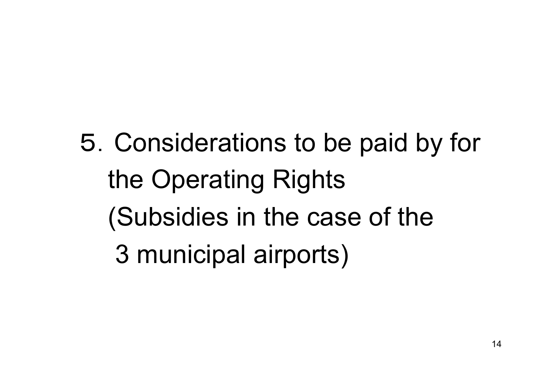5.Considerations to be paid by for the Operating Rights (Subsidies in the case of the 3 municipal airports)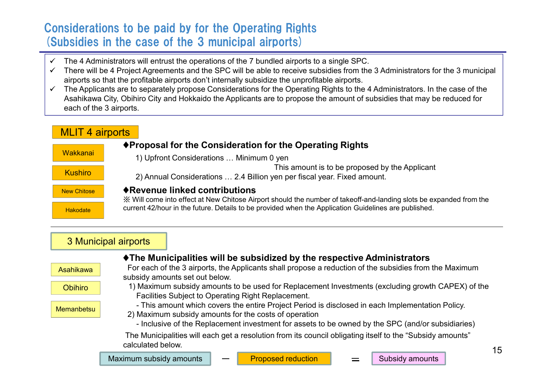#### Considerations to be paid by for the Operating Rights (Subsidies in the case of the 3 municipal airports)

- The 4 Administrators will entrust the operations of the 7 bundled airports to a single SPC.  $\checkmark$
- There will be 4 Project Agreements and the SPC will be able to receive subsidies from the 3 Administrators for the 3 municipal  $\checkmark$ airports so that the profitable airports don't internally subsidize the unprofitable airports.
- The Applicants are to separately propose Considerations for the Operating Rights to the 4 Administrators. In the case of the  $\checkmark$ Asahikawa City, Obihiro City and Hokkaido the Applicants are to propose the amount of subsidies that may be reduced for each of the 3 airports.

| <b>MLIT 4 airports</b> |                                                                                                                                                    |
|------------------------|----------------------------------------------------------------------------------------------------------------------------------------------------|
| <b>Wakkanai</b>        | ♦ Proposal for the Consideration for the Operating Rights<br>1) Upfront Considerations  Minimum 0 yen                                              |
| <b>Kushiro</b>         | This amount is to be proposed by the Applicant<br>2) Annual Considerations  2.4 Billion yen per fiscal year. Fixed amount.                         |
| <b>New Chitose</b>     | ◆ Revenue linked contributions<br>Will come into effect at New Chitose Airport should the number of takeoff-and-landing slots be expanded from the |
| Hakodate               | current 42/hour in the future. Details to be provided when the Application Guidelines are published.                                               |

#### 3 Municipal airports

|                  |                                                                                                                                                                                                                                                                |  | ♦ The Municipalities will be subsidized by the respective Administrators                                  |  |                 |    |  |
|------------------|----------------------------------------------------------------------------------------------------------------------------------------------------------------------------------------------------------------------------------------------------------------|--|-----------------------------------------------------------------------------------------------------------|--|-----------------|----|--|
| <b>Asahikawa</b> | For each of the 3 airports, the Applicants shall propose a reduction of the subsidies from the Maximum<br>subsidy amounts set out below.                                                                                                                       |  |                                                                                                           |  |                 |    |  |
| <b>Obihiro</b>   | 1) Maximum subsidy amounts to be used for Replacement Investments (excluding growth CAPEX) of the<br>Facilities Subject to Operating Right Replacement.                                                                                                        |  |                                                                                                           |  |                 |    |  |
| Memanbetsu       | - This amount which covers the entire Project Period is disclosed in each Implementation Policy.<br>2) Maximum subsidy amounts for the costs of operation<br>- Inclusive of the Replacement investment for assets to be owned by the SPC (and/or subsidiaries) |  |                                                                                                           |  |                 |    |  |
|                  | calculated below.                                                                                                                                                                                                                                              |  | "The Municipalities will each get a resolution from its council obligating itself to the "Subsidy amounts |  |                 | 15 |  |
|                  | Maximum subsidy amounts                                                                                                                                                                                                                                        |  | <b>Proposed reduction</b>                                                                                 |  | Subsidy amounts |    |  |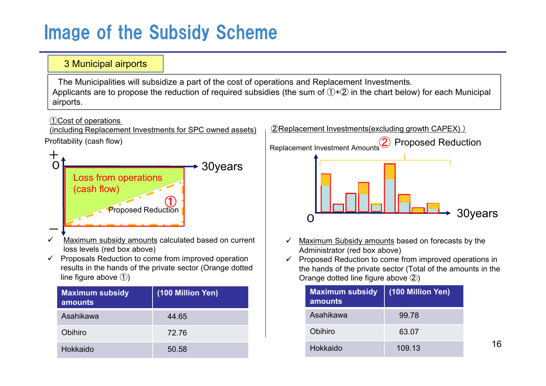# Image of the Subsidy Scheme

#### 3 Municipal airports The Municipalities will subsidize a part of the cost of operations and Replacement Investments. Applicants are to propose the reduction of required subsidies (the sum of  $(1)+(2)$  in the chart below) for each Municipal airports.

#### ①Cost of operations

(including Replacement Investments for SPC owned assets)





- Maximum subsidy amounts calculated based on current  $\checkmark$ loss levels (red box above)
- $\checkmark$  Proposals Reduction to come from improved operation results in the hands of the private sector (Orange dotted line figure above ①)

| <b>Maximum subsidy</b><br>amounts | (100 Million Yen) |
|-----------------------------------|-------------------|
| Asahikawa                         | 44.65             |
| Obihiro                           | 72.76             |
| Hokkaido                          | 50.58             |



- Maximum Subsidy amounts based on forecasts by the  $\checkmark$ Administrator (red box above)
- Proposed Reduction to come from improved operations in  $\checkmark$ the hands of the private sector (Total of the amounts in the Orange dotted line figure above ②)

| <b>Maximum subsidy</b><br>amounts | (100 Million Yen) |
|-----------------------------------|-------------------|
| Asahikawa                         | 99.78             |
| Obihiro                           | 63.07             |
| Hokkaido                          | 109.13            |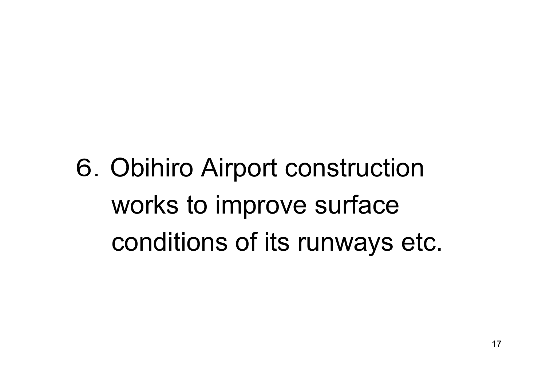6.Obihiro Airport construction works to improve surface conditions of its runways etc.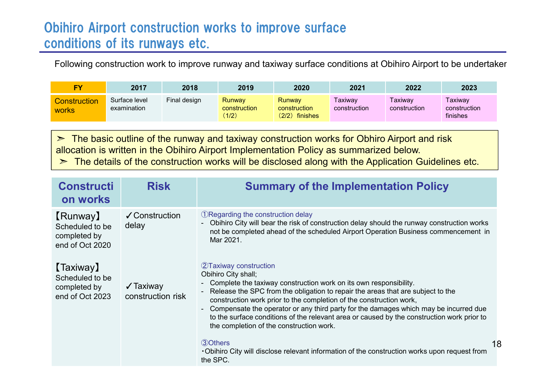### Obihiro Airport construction works to improve surface conditions of its runways etc.

Following construction work to improve runway and taxiway surface conditions at Obihiro Airport to be undertaken.

| EV                           | 2017                         | 2018         | 2019                            | 2020                                            | 2021                    | 2022                    | 2023                                |
|------------------------------|------------------------------|--------------|---------------------------------|-------------------------------------------------|-------------------------|-------------------------|-------------------------------------|
| Construction<br><b>WORKS</b> | Surface level<br>examination | Final design | Runway<br>construction<br>(1/2) | <b>Runway</b><br>construction<br>(2/2) finishes | Taxiwav<br>construction | Taxiway<br>construction | Taxiway<br>construction<br>finishes |

 $\triangleright$  The basic outline of the runway and taxiway construction works for Obhiro Airport and risk allocation is written in the Obihiro Airport Implementation Policy as summarized below.  $\geq$  The details of the construction works will be disclosed along with the Application Guidelines etc.

| <b>Constructi</b><br>on works                                          | <b>Risk</b>                              | <b>Summary of the Implementation Policy</b>                                                                                                                                                                                                                                                                                                                                                                                                                                                                        |    |
|------------------------------------------------------------------------|------------------------------------------|--------------------------------------------------------------------------------------------------------------------------------------------------------------------------------------------------------------------------------------------------------------------------------------------------------------------------------------------------------------------------------------------------------------------------------------------------------------------------------------------------------------------|----|
| [Runway]<br>Scheduled to be<br>completed by<br>end of Oct 2020         | ✔ Construction<br>delay                  | <b>ORegarding the construction delay</b><br>- Obihiro City will bear the risk of construction delay should the runway construction works<br>not be completed ahead of the scheduled Airport Operation Business commencement in<br>Mar 2021.                                                                                                                                                                                                                                                                        |    |
| <b>[Taxiway]</b><br>Scheduled to be<br>completed by<br>end of Oct 2023 | $\sqrt{\ }$ Taxiway<br>construction risk | 2 Taxiway construction<br>Obihiro City shall;<br>- Complete the taxiway construction work on its own responsibility.<br>Release the SPC from the obligation to repair the areas that are subject to the<br>construction work prior to the completion of the construction work,<br>- Compensate the operator or any third party for the damages which may be incurred due<br>to the surface conditions of the relevant area or caused by the construction work prior to<br>the completion of the construction work. |    |
|                                                                        |                                          | 30thers<br>-Obihiro City will disclose relevant information of the construction works upon request from<br>the SPC.                                                                                                                                                                                                                                                                                                                                                                                                | 18 |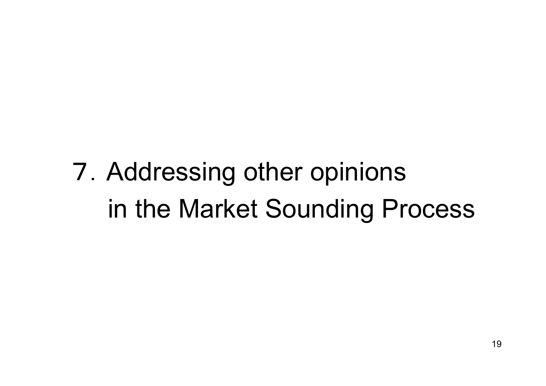# 7.Addressing other opinions in the Market Sounding Process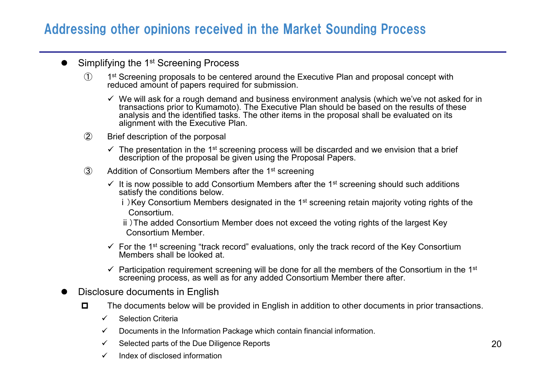### Addressing other opinions received in the Market Sounding Process

#### Simplifying the 1<sup>st</sup> Screening Process  $\bullet$

- $\mathcal{F}$ 1<sup>st</sup> Screening proposals to be centered around the Executive Plan and proposal concept with reduced amount of papers required for submission.
	- We will ask for a rough demand and business environment analysis (which we've not asked for in transactions prior to Kumamoto). The Executive Plan should be based on the results of these analysis and the identified tasks. The other items in the proposal shall be evaluated on its alignment with the Executive Plan.
- ② Brief description of the porposal
	- The presentation in the 1<sup>st</sup> screening process will be discarded and we envision that a brief description of the proposal be given using the Proposal Papers.
- 3 Addition of Consortium Members after the 1<sup>st</sup> screening
	- It is now possible to add Consortium Members after the 1<sup>st</sup> screening should such additions satisfy the conditions below.
		- i) Key Consortium Members designated in the 1<sup>st</sup> screening retain majority voting rights of the Consortium.

ⅱ)The added Consortium Member does not exceed the voting rights of the largest Key Consortium Member.

- For the 1<sup>st</sup> screening "track record" evaluations, only the track record of the Key Consortium Members shall be looked at.
- Participation requirement screening will be done for all the members of the Consortium in the 1<sup>st</sup> screening process, as well as for any added Consortium Member there after.

#### Disclosure documents in English

- $\Box$ The documents below will be provided in English in addition to other documents in prior transactions.
	- $\checkmark$ Selection Criteria
	- Documents in the Information Package which contain financial information.  $\checkmark$
	- Selected parts of the Due Diligence Reports  $\checkmark$
	- Index of disclosed information  $\checkmark$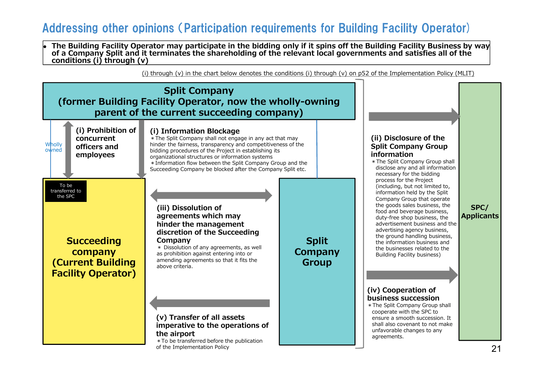#### Addressing other opinions (Participation requirements for Building Facility Operator)

The Building Facility Operator may participate in the bidding only if it spins off the Building Facility Business by way of a Company Split and it terminates the shareholding of the relevant local governments and satisfies all of the **conditions (i) through (v)**

(i) through (y) in the chart below denotes the conditions (i) through (y) on p52 of the Implementation Policy (MLIT)

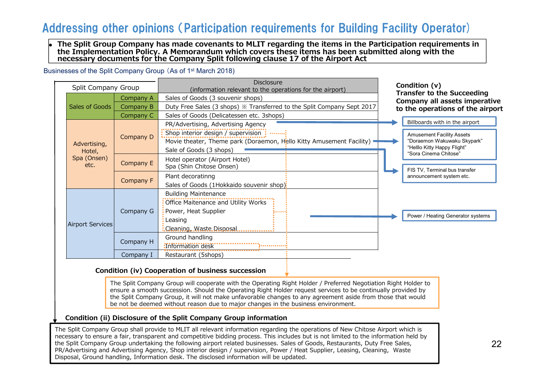#### Addressing other opinions (Participation requirements for Building Facility Operator)

The Split Group Company has made covenants to MLIT regarding the items in the Participation requirements in **the Implementation Policy. A Memorandum which covers these items has been submitted along with the necessary documents for the Company Split following clause 17 of the Airport Act**

Businesses of the Split Company Group (As of 1<sup>st</sup> March 2018)

| Split Company Group    |           | Disclosure<br>(information relevant to the operations for the airport)                                                                    | Condition (v)                                                                                                           |  |  |
|------------------------|-----------|-------------------------------------------------------------------------------------------------------------------------------------------|-------------------------------------------------------------------------------------------------------------------------|--|--|
|                        | Company A | Sales of Goods (3 souvenir shops)                                                                                                         | <b>Transfer to the Succeeding</b><br>Company all assets imperative                                                      |  |  |
| Sales of Goods         | Company B | Duty Free Sales (3 shops) $\%$ Transferred to the Split Company Sept 2017                                                                 | to the operations of the airport                                                                                        |  |  |
|                        | Company C | Sales of Goods (Delicatessen etc. 3shops)                                                                                                 |                                                                                                                         |  |  |
|                        |           | PR/Advertising, Advertising Agency                                                                                                        | Billboards with in the airport                                                                                          |  |  |
| Advertising,<br>Hotel, | Company D | Shop interior design / supervision :<br>Movie theater, Theme park (Doraemon, Hello Kitty Amusement Facility) .<br>Sale of Goods (3 shops) | <b>Amusement Facility Assets</b><br>"Doraemon Wakuwaku Skypark"<br>"Helllo Kitty Happy Flight"<br>"Sora Cinema Chitose" |  |  |
| Spa (Onsen)<br>etc.    | Company E | Hotel operator (Airport Hotel)<br>Spa (Shin Chitose Onsen)                                                                                | FIS TV, Terminal bus transfer                                                                                           |  |  |
|                        | Company F | Plant decoratinng<br>Sales of Goods (1Hokkaido souvenir shop):                                                                            | announcement system etc.                                                                                                |  |  |
| Airport Services       | Company G | <b>Building Maintenance</b><br>Office Maitenance and Utility Works<br>Power, Heat Supplier<br>.<br>: Leasing<br>Cleaning, Waste Disposal. | Power / Heating Generator systems                                                                                       |  |  |
|                        | Company H | Ground handling<br>:Information desk<br>-------------                                                                                     |                                                                                                                         |  |  |
|                        | Company I | Restaurant (5shops)                                                                                                                       |                                                                                                                         |  |  |

#### **Condition (iv) Cooperation of business succession**

The Split Company Group will cooperate with the Operating Right Holder / Preferred Negotiation Right Holder to ensure a smooth succession. Should the Operating Right Holder request services to be continually provided by the Split Company Group, it will not make unfavorable changes to any agreement aside from those that would be not be deemed without reason due to major changes in the business environment.

#### **Condition (ii) Disclosure of the Split Company Group information**

The Split Company Group shall provide to MLIT all relevant information regarding the operations of New Chitose Airport which is necessary to ensure a fair, transparent and competitive bidding process. This includes but is not limited to the information held by the Split Company Group undertaking the following airport related businesses. Sales of Goods, Restaurants, Duty Free Sales, PR/Advertising and Advertising Agency, Shop interior design / supervision, Power / Heat Supplier, Leasing, Cleaning, Waste Disposal, Ground handling, Information desk. The disclosed information will be updated.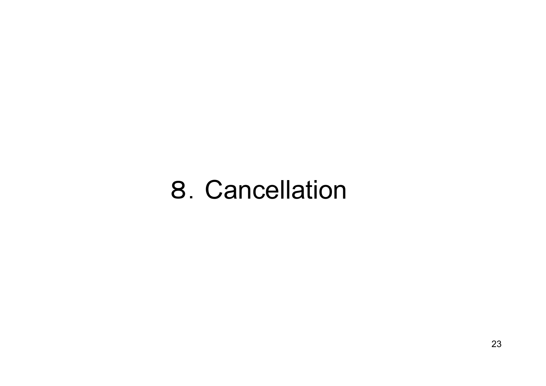# 8.Cancellation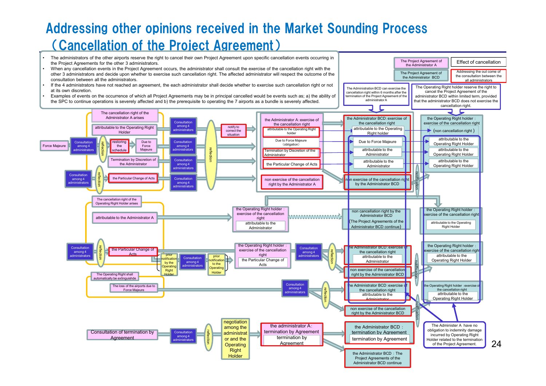## Addressing other opinions received in the Market Sounding Process (Cancellation of the Project Agreement)

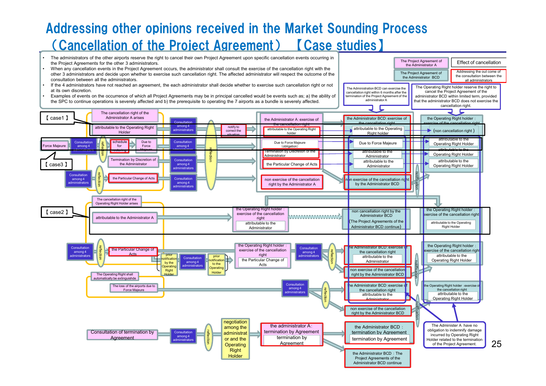## Addressing other opinions received in the Market Sounding Process (Cancellation of the Project Agreement) 【Case studies】

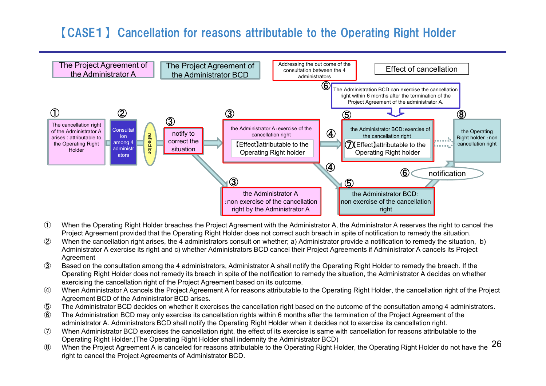#### 【CASE1】 Cancellation for reasons attributable to the Operating Right Holder



- ① When the Operating Right Holder breaches the Project Agreement with the Administrator A, the Administrator A reserves the right to cancel the Project Agreement provided that the Operating Right Holder does not correct such breach in spite of notification to remedy the situation.
- ② When the cancellation right arises, the 4 administrators consult on whether; a) Administrator provide a notification to remedy the situation, b) Administrator A exercise its right and c) whether Administrators BCD cancel their Project Agreements if Administrator A cancels its Project Agreement
- ③ Based on the consultation among the 4 administrators, Administrator A shall notify the Operating Right Holder to remedy the breach. If the Operating Right Holder does not remedy its breach in spite of the notification to remedy the situation, the Administrator A decides on whether exercising the cancellation right of the Project Agreement based on its outcome.
- ④ When Administrator A cancels the Project Agreement A for reasons attributable to the Operating Right Holder, the cancellation right of the Project Agreement BCD of the Administrator BCD arises.
- ⑤ The Administrator BCD decides on whether it exercises the cancellation right based on the outcome of the consultation among 4 administrators.
- ⑥ The Administration BCD may only exercise its cancellation rights within 6 months after the termination of the Project Agreement of the administrator A. Administrators BCD shall notify the Operating Right Holder when it decides not to exercise its cancellation right.
- ⑦ When Administrator BCD exercises the cancellation right, the effect of its exercise is same with cancellation for reasons attributable to the Operating Right Holder.(The Operating Right Holder shall indemnity the Administrator BCD)
- **She Constituted Transform of the Constituted States and Constitution** (Butcher Brandwin Buch)<br>8 When the Project Agreement A is canceled for reasons attributable to the Operating Right Holder, the Operating Right Holder d right to cancel the Project Agreements of Administrator BCD.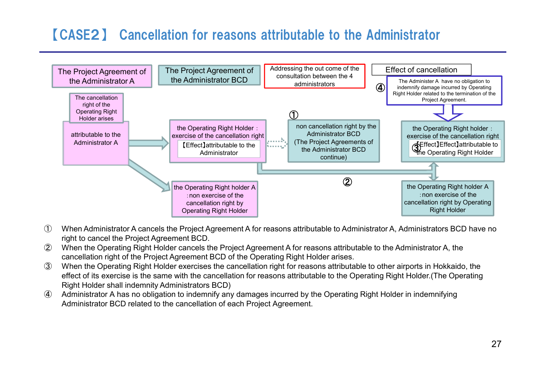## 【CASE2】 Cancellation for reasons attributable to the Administrator



- ① When Administrator A cancels the Project Agreement A for reasons attributable to Administrator A, Administrators BCD have no right to cancel the Project Agreement BCD.
- ② When the Operating Right Holder cancels the Project Agreement A for reasons attributable to the Administrator A, the cancellation right of the Project Agreement BCD of the Operating Right Holder arises.
- ③ When the Operating Right Holder exercises the cancellation right for reasons attributable to other airports in Hokkaido, the effect of its exercise is the same with the cancellation for reasons attributable to the Operating Right Holder.(The Operating Right Holder shall indemnity Administrators BCD)
- ④ Administrator A has no obligation to indemnify any damages incurred by the Operating Right Holder in indemnifying Administrator BCD related to the cancellation of each Project Agreement.